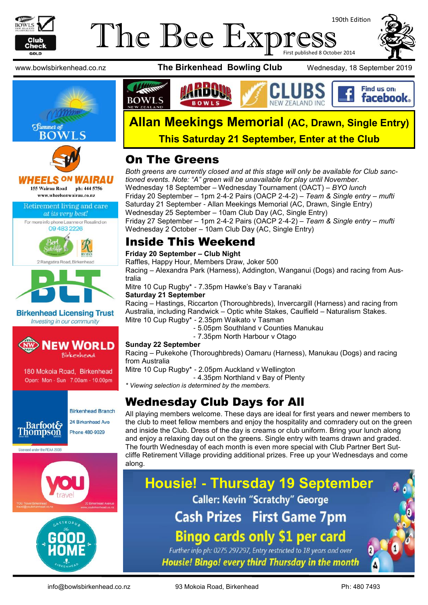

## The Bee Expre 190th Edition First published 8 October 2014





**HEELS ON** IRAU 155 Wairau Road ph: 444 5756 www.wheelsonwairau.co.nz

#### Retirement living and care at its very best!





**Birkenhead Licensing Trust** Investing in our community



180 Mokoia Road, Birkenhead Open: Mon - Sun 7.00am - 10.00pm













## **Allan Meekings Memorial (AC, Drawn, Single Entry) This Saturday 21 September, Enter at the Club**

## On The Greens

*Both greens are currently closed and at this stage will only be available for Club sanctioned events. Note: "A" green will be unavailable for play until November.* Wednesday 18 September – Wednesday Tournament (OACT) – *BYO lunch* Friday 20 September – 1pm 2-4-2 Pairs (OACP 2-4-2) – *Team & Single entry – mufti* Saturday 21 September - Allan Meekings Memorial (AC, Drawn, Single Entry) Wednesday 25 September – 10am Club Day (AC, Single Entry) Friday 27 September – 1pm 2-4-2 Pairs (OACP 2-4-2) – *Team & Single entry – mufti* Wednesday 2 October – 10am Club Day (AC, Single Entry)

## Inside This Weekend

#### **Friday 20 September – Club Night**

Raffles, Happy Hour, Members Draw, Joker 500

Racing – Alexandra Park (Harness), Addington, Wanganui (Dogs) and racing from Australia

Mitre 10 Cup Rugby\* - 7.35pm Hawke's Bay v Taranaki

#### **Saturday 21 September**

Racing – Hastings, Riccarton (Thoroughbreds), Invercargill (Harness) and racing from Australia, including Randwick – Optic white Stakes, Caulfield – Naturalism Stakes. Mitre 10 Cup Rugby\* - 2.35pm Waikato v Tasman

- 5.05pm Southland v Counties Manukau
- 7.35pm North Harbour v Otago

#### **Sunday 22 September**

Racing – Pukekohe (Thoroughbreds) Oamaru (Harness), Manukau (Dogs) and racing from Australia

Mitre 10 Cup Rugby\* - 2.05pm Auckland v Wellington

- 4.35pm Northland v Bay of Plenty

*\* Viewing selection is determined by the members.*

## Wednesday Club Days for All

All playing members welcome. These days are ideal for first years and newer members to the club to meet fellow members and enjoy the hospitality and comradery out on the green and inside the Club. Dress of the day is creams or club uniform. Bring your lunch along and enjoy a relaxing day out on the greens. Single entry with teams drawn and graded. The fourth Wednesday of each month is even more special with Club Partner Bert Sutcliffe Retirement Village providing additional prizes. Free up your Wednesdays and come along.

**Housie! - Thursday 19 September Caller: Kevin "Scratchy" George Cash Prizes First Game 7pm Bingo cards only \$1 per card** Further info ph: 0275 297297, Entry restricted to 18 years and over

Housie! Bingo! every third Thursday in the month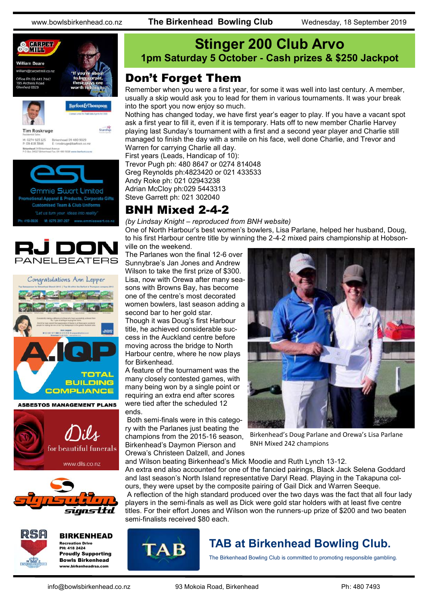



**Tim Roskruge** 

Starship

M: 0274 923 125 Birkenhead 09 480 9029<br>P: 09 418 3846 E: troskruge@barfoot.co Birkenhead 24 BH<br>P O Box 34027 BM







**ASBESTOS MANAGEMENT PLANS** 







BIRKENHEAD Recreation Drive PH: 418 2424 Proudly Supporting Bowls Birkenhead

www.birkenheadrsa.com



## Don't Forget Them

Remember when you were a first year, for some it was well into last century. A member, usually a skip would ask you to lead for them in various tournaments. It was your break into the sport you now enjoy so much.

Nothing has changed today, we have first year's eager to play. If you have a vacant spot ask a first year to fill it, even if it is temporary. Hats off to new member Charlie Harvey playing last Sunday's tournament with a first and a second year player and Charlie still managed to finish the day with a smile on his face, well done Charlie, and Trevor and Warren for carrying Charlie all day.

First years (Leads, Handicap of 10): Trevor Pugh ph: 480 8647 or 0274 814048 Greg Reynolds ph:4823420 or 021 433533 Andy Roke ph: 021 02943238 Adrian McCloy ph:029 5443313 Steve Garrett ph: 021 302040

## BNH Mixed 2-4-2

*(by Lindsay Knight – reproduced from BNH website)*

One of North Harbour's best women's bowlers, Lisa Parlane, helped her husband, Doug, to his first Harbour centre title by winning the 2-4-2 mixed pairs championship at Hobsonville on the weekend.

The Parlanes won the final 12-6 over Sunnybrae's Jan Jones and Andrew Wilson to take the first prize of \$300. Lisa, now with Orewa after many seasons with Browns Bay, has become one of the centre's most decorated women bowlers, last season adding a second bar to her gold star.

Though it was Doug's first Harbour title, he achieved considerable success in the Auckland centre before moving across the bridge to North Harbour centre, where he now plays for Birkenhead.

A feature of the tournament was the many closely contested games, with many being won by a single point or requiring an extra end after scores were tied after the scheduled 12 ends.

Both semi-finals were in this category with the Parlanes just beating the champions from the 2015-16 season, Birkenhead's Daymon Pierson and Orewa's Christeen Dalzell, and Jones

**TAB** 



Birkenhead's Doug Parlane and Orewa's Lisa Parlane BNH Mixed 242 champions

and Wilson beating Birkenhead's Mick Moodie and Ruth Lynch 13-12. An extra end also accounted for one of the fancied pairings, Black Jack Selena Goddard and last season's North Island representative Daryl Read. Playing in the Takapuna colours, they were upset by the composite pairing of Gail Dick and Warren Seeque. A reflection of the high standard produced over the two days was the fact that all four lady players in the semi-finals as well as Dick were gold star holders with at least five centre titles. For their effort Jones and Wilson won the runners-up prize of \$200 and two beaten semi-finalists received \$80 each.

## **TAB at Birkenhead Bowling Club.**

The Birkenhead Bowling Club is committed to promoting responsible gambling.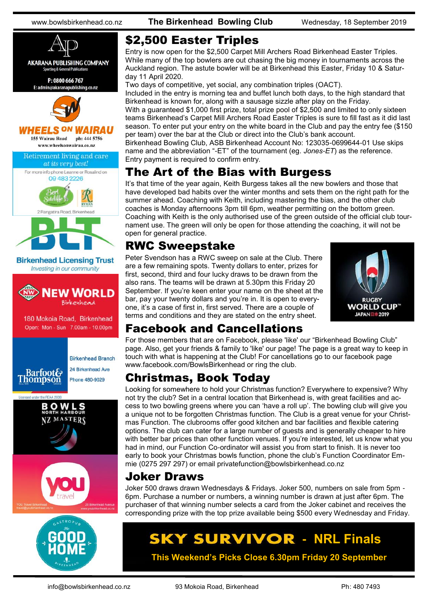

## \$2,500 Easter Triples

Entry is now open for the \$2,500 Carpet Mill Archers Road Birkenhead Easter Triples. While many of the top bowlers are out chasing the big money in tournaments across the Auckland region. The astute bowler will be at Birkenhead this Easter, Friday 10 & Saturday 11 April 2020.

Two days of competitive, yet social, any combination triples (OACT).

Included in the entry is morning tea and buffet lunch both days, to the high standard that Birkenhead is known for, along with a sausage sizzle after play on the Friday. With a guaranteed \$1,000 first prize, total prize pool of \$2,500 and limited to only sixteen teams Birkenhead's Carpet Mill Archers Road Easter Triples is sure to fill fast as it did last season. To enter put your entry on the white board in the Club and pay the entry fee (\$150 per team) over the bar at the Club or direct into the Club's bank account.

Birkenhead Bowling Club, ASB Birkenhead Account No: 123035-0699644-01 Use skips name and the abbreviation "-ET" of the tournament (eg. *Jones-ET*) as the reference. Entry payment is required to confirm entry.

## The Art of the Bias with Burgess

It's that time of the year again, Keith Burgess takes all the new bowlers and those that have developed bad habits over the winter months and sets them on the right path for the summer ahead. Coaching with Keith, including mastering the bias, and the other club coaches is Monday afternoons 3pm till 6pm, weather permitting on the bottom green. Coaching with Keith is the only authorised use of the green outside of the official club tournament use. The green will only be open for those attending the coaching, it will not be open for general practice.

## RWC Sweepstake

Peter Svendson has a RWC sweep on sale at the Club. There are a few remaining spots. Twenty dollars to enter, prizes for first, second, third and four lucky draws to be drawn from the also rans. The teams will be drawn at 5.30pm this Friday 20 September. If you're keen enter your name on the sheet at the bar, pay your twenty dollars and you're in. It is open to everyone, it's a case of first in, first served. There are a couple of terms and conditions and they are stated on the entry sheet.



## Facebook and Cancellations

For those members that are on Facebook, please 'like' our "Birkenhead Bowling Club" page. Also, get your friends & family to 'like' our page! The page is a great way to keep in touch with what is happening at the Club! For cancellations go to our facebook page www.facebook.com/BowlsBirkenhead or ring the club.

## Christmas, Book Today

Looking for somewhere to hold your Christmas function? Everywhere to expensive? Why not try the club? Set in a central location that Birkenhead is, with great facilities and access to two bowling greens where you can 'have a roll up'. The bowling club will give you a unique not to be forgotten Christmas function. The Club is a great venue for your Christmas Function. The clubrooms offer good kitchen and bar facilities and flexible catering options. The club can cater for a large number of guests and is generally cheaper to hire with better bar prices than other function venues. If you're interested, let us know what you had in mind, our Function Co-ordinator will assist you from start to finish. It is never too early to book your Christmas bowls function, phone the club's Function Coordinator Emmie (0275 297 297) or email privatefunction@bowlsbirkenhead.co.nz

## Joker Draws

Joker 500 draws drawn Wednesdays & Fridays. Joker 500, numbers on sale from 5pm - 6pm. Purchase a number or numbers, a winning number is drawn at just after 6pm. The purchaser of that winning number selects a card from the Joker cabinet and receives the corresponding prize with the top prize available being \$500 every Wednesday and Friday.

# **SKY SURVIVOR - NRL Finals**

**This Weekend's Picks Close 6.30pm Friday 20 September**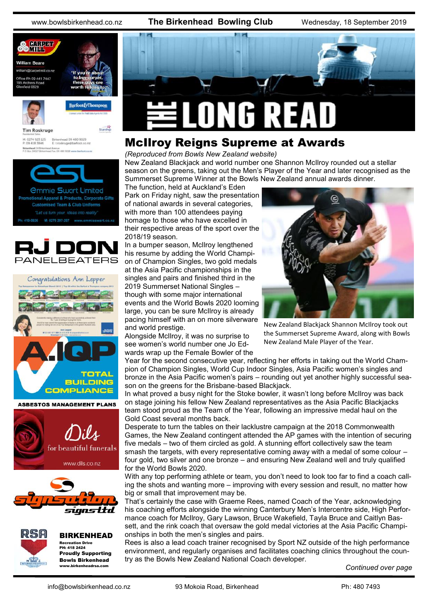



#### **ASBESTOS MANAGEMENT PLANS**







BIRKENHEAD Recreation Drive PH: 418 2424 Proudly Supporting Bowls Birkenhead www.birkenheadrsa.com



## McIlroy Reigns Supreme at Awards

*(Reproduced from Bowls New Zealand website)*

New Zealand Blackjack and world number one Shannon McIlroy rounded out a stellar season on the greens, taking out the Men's Player of the Year and later recognised as the Summerset Supreme Winner at the Bowls New Zealand annual awards dinner.

The function, held at Auckland's Eden Park on Friday night, saw the presentation of national awards in several categories, with more than 100 attendees paying homage to those who have excelled in their respective areas of the sport over the 2018/19 season.

In a bumper season, McIlroy lengthened his resume by adding the World Champion of Champion Singles, two gold medals at the Asia Pacific championships in the singles and pairs and finished third in the 2019 Summerset National Singles – though with some major international events and the World Bowls 2020 looming large, you can be sure McIlroy is already pacing himself with an on more silverware and world prestige.

Alongside McIlroy, it was no surprise to see women's world number one Jo Edwards wrap up the Female Bowler of the



New Zealand Blackjack Shannon McIlroy took out the Summerset Supreme Award, along with Bowls New Zealand Male Player of the Year.

Year for the second consecutive year, reflecting her efforts in taking out the World Champion of Champion Singles, World Cup Indoor Singles, Asia Pacific women's singles and bronze in the Asia Pacific women's pairs – rounding out yet another highly successful season on the greens for the Brisbane-based Blackjack.

In what proved a busy night for the Stoke bowler, it wasn't long before McIlroy was back on stage joining his fellow New Zealand representatives as the Asia Pacific Blackjacks team stood proud as the Team of the Year, following an impressive medal haul on the Gold Coast several months back.

Desperate to turn the tables on their lacklustre campaign at the 2018 Commonwealth Games, the New Zealand contingent attended the AP games with the intention of securing five medals – two of them circled as gold. A stunning effort collectively saw the team smash the targets, with every representative coming away with a medal of some colour – four gold, two silver and one bronze – and ensuring New Zealand well and truly qualified for the World Bowls 2020.

With any top performing athlete or team, you don't need to look too far to find a coach calling the shots and wanting more – improving with every session and result, no matter how big or small that improvement may be.

That's certainly the case with Graeme Rees, named Coach of the Year, acknowledging his coaching efforts alongside the winning Canterbury Men's Intercentre side, High Performance coach for McIlroy, Gary Lawson, Bruce Wakefield, Tayla Bruce and Caitlyn Bassett, and the rink coach that oversaw the gold medal victories at the Asia Pacific Championships in both the men's singles and pairs.

Rees is also a lead coach trainer recognised by Sport NZ outside of the high performance environment, and regularly organises and facilitates coaching clinics throughout the country as the Bowls New Zealand National Coach developer.

*Continued over page*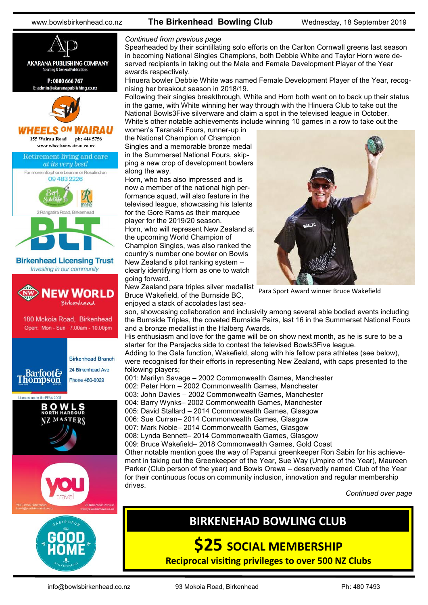



#### *Continued from previous page*

Spearheaded by their scintillating solo efforts on the Carlton Cornwall greens last season in becoming National Singles Champions, both Debbie White and Taylor Horn were deserved recipients in taking out the Male and Female Development Player of the Year awards respectively.

Hinuera bowler Debbie White was named Female Development Player of the Year, recognising her breakout season in 2018/19.

Following their singles breakthrough, White and Horn both went on to back up their status in the game, with White winning her way through with the Hinuera Club to take out the National Bowls3Five silverware and claim a spot in the televised league in October. White's other notable achievements include winning 10 games in a row to take out the

women's Taranaki Fours, runner-up in the National Champion of Champion Singles and a memorable bronze medal in the Summerset National Fours, skipping a new crop of development bowlers along the way.

Horn, who has also impressed and is now a member of the national high performance squad, will also feature in the televised league, showcasing his talents for the Gore Rams as their marquee player for the 2019/20 season. Horn, who will represent New Zealand at the upcoming World Champion of Champion Singles, was also ranked the country's number one bowler on Bowls New Zealand's pilot ranking system – clearly identifying Horn as one to watch going forward.

New Zealand para triples silver medallist Bruce Wakefield, of the Burnside BC, enjoyed a stack of accolades last sea-



Para Sport Award winner Bruce Wakefield

son, showcasing collaboration and inclusivity among several able bodied events including the Burnside Triples, the coveted Burnside Pairs, last 16 in the Summerset National Fours and a bronze medallist in the Halberg Awards.

His enthusiasm and love for the game will be on show next month, as he is sure to be a starter for the Parajacks side to contest the televised Bowls3Five league.

Adding to the Gala function, Wakefield, along with his fellow para athletes (see below), were recognised for their efforts in representing New Zealand, with caps presented to the following players;

001: Marilyn Savage – 2002 Commonwealth Games, Manchester 002: Peter Horn – 2002 Commonwealth Games, Manchester 003: John Davies – 2002 Commonwealth Games, Manchester 004: Barry Wynks– 2002 Commonwealth Games, Manchester 005: David Stallard – 2014 Commonwealth Games, Glasgow 006: Sue Curran– 2014 Commonwealth Games, Glasgow 007: Mark Noble– 2014 Commonwealth Games, Glasgow 008: Lynda Bennett– 2014 Commonwealth Games, Glasgow 009: Bruce Wakefield– 2018 Commonwealth Games, Gold Coast Other notable mention goes the way of Papanui greenkeeper Ron Sabin for his achievement in taking out the Greenkeeper of the Year, Sue Way (Umpire of the Year), Maureen Parker (Club person of the year) and Bowls Orewa – deservedly named Club of the Year for their continuous focus on community inclusion, innovation and regular membership drives.

*Continued over page*

## **BIRKENEHAD BOWLING CLUB**

**\$25 SOCIAL MEMBERSHIP**

**Reciprocal visiting privileges to over 500 NZ Clubs** 

info@bowlsbirkenhead.co.nz 93 Mokoia Road, Birkenhead Ph: 480 7493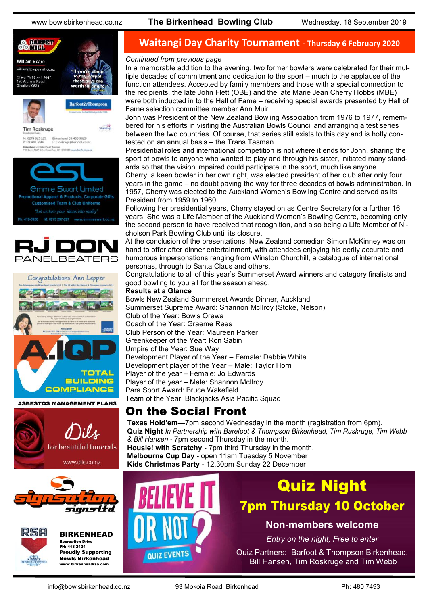



Starship

**Tim Roskruge** M: 0274 923 125<br>P: 09 418 3846 Birkenhead 09 480 9029<br>E: troskruge@barfoot.co.nz







**ASBESTOS MANAGEMENT PLANS** 







BIRKENHEAD Recreation Drive PH: 418 2424 Proudly Supporting Bowls Birkenhead www.birkenheadrsa.com

## **Waitangi Day Charity Tournament - Thursday 6 February 2020**

#### *Continued from previous page*

In a memorable addition to the evening, two former bowlers were celebrated for their multiple decades of commitment and dedication to the sport – much to the applause of the function attendees. Accepted by family members and those with a special connection to the recipients, the late John Flett (OBE) and the late Marie Jean Cherry Hobbs (MBE) were both inducted in to the Hall of Fame – receiving special awards presented by Hall of Fame selection committee member Ann Muir.

John was President of the New Zealand Bowling Association from 1976 to 1977, remembered for his efforts in visiting the Australian Bowls Council and arranging a test series between the two countries. Of course, that series still exists to this day and is hotly contested on an annual basis – the Trans Tasman.

Presidential roles and international competition is not where it ends for John, sharing the sport of bowls to anyone who wanted to play and through his sister, initiated many standards so that the vision impaired could participate in the sport, much like anyone.

Cherry, a keen bowler in her own right, was elected president of her club after only four years in the game – no doubt paving the way for three decades of bowls administration. In 1957, Cherry was elected to the Auckland Women's Bowling Centre and served as its President from 1959 to 1960.

Following her presidential years, Cherry stayed on as Centre Secretary for a further 16 years. She was a Life Member of the Auckland Women's Bowling Centre, becoming only the second person to have received that recognition, and also being a Life Member of Nicholson Park Bowling Club until its closure.

At the conclusion of the presentations, New Zealand comedian Simon McKinney was on hand to offer after-dinner entertainment, with attendees enjoying his eerily accurate and humorous impersonations ranging from Winston Churchill, a catalogue of international personas, through to Santa Claus and others.

Congratulations to all of this year's Summerset Award winners and category finalists and good bowling to you all for the season ahead.

#### **Results at a Glance**

Bowls New Zealand Summerset Awards Dinner, Auckland Summerset Supreme Award: Shannon McIlroy (Stoke, Nelson) Club of the Year: Bowls Orewa Coach of the Year: Graeme Rees Club Person of the Year: Maureen Parker Greenkeeper of the Year: Ron Sabin Umpire of the Year: Sue Way Development Player of the Year – Female: Debbie White Development player of the Year – Male: Taylor Horn Player of the year – Female: Jo Edwards Player of the year – Male: Shannon McIlroy Para Sport Award: Bruce Wakefield Team of the Year: Blackiacks Asia Pacific Squad

## On the Social Front

**Texas Hold'em—**7pm second Wednesday in the month (registration from 6pm). **Quiz Night** *In Partnership with Barefoot & Thompson Birkenhead, Tim Ruskruge, Tim Webb & Bill Hansen -* 7pm second Thursday in the month. **Housie! with Scratchy** - 7pm third Thursday in the month. **Melbourne Cup Day -** open 11am Tuesday 5 November **Kids Christmas Party** - 12.30pm Sunday 22 December



# Quiz Night 7pm Thursday 10 October

### **Non-members welcome**

*Entry on the night, Free to enter*

Quiz Partners: Barfoot & Thompson Birkenhead, Bill Hansen, Tim Roskruge and Tim Webb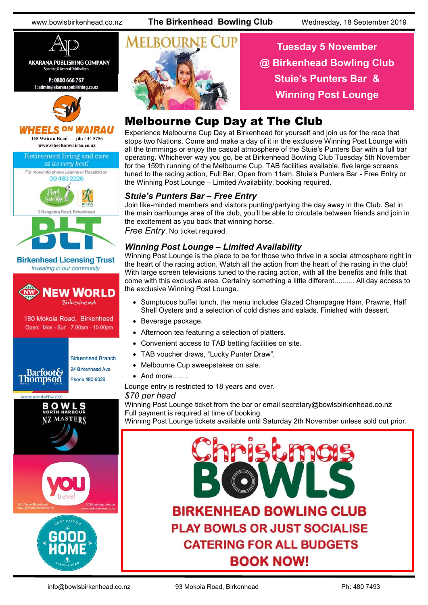

**AKARANA PUBLISHING COMPANY Sporting & General Publication** 

P: 0800 666 767 E: admin@akaranapublishing.co.nz



#### **HEELS ON** AIRAU

155 Wairau Road ph: 444 5756









**Birkenhead Licensing Trust** Investing in our community



180 Mokoia Road, Birkenhead Open: Mon - Sun 7.00am - 10.00pm

**Thompson** 

## **Birkenhead Branch**

Phone 480-9029





## **Tuesday 5 November @ Birkenhead Bowling Club Stuie's Punters Bar & Winning Post Lounge**

## Melbourne Cup Day at The Club

Experience Melbourne Cup Day at Birkenhead for yourself and join us for the race that stops two Nations. Come and make a day of it in the exclusive Winning Post Lounge with all the trimmings or enjoy the casual atmosphere of the Stuie's Punters Bar with a full bar operating. Whichever way you go, be at Birkenhead Bowling Club Tuesday 5th November for the 159th running of the Melbourne Cup. TAB facilities available, five large screens tuned to the racing action, Full Bar, Open from 11am. Stuie's Punters Bar - Free Entry or the Winning Post Lounge – Limited Availability, booking required.

#### *Stuie's Punters Bar – Free Entry*

Join like-minded members and visitors punting/partying the day away in the Club. Set in the main bar/lounge area of the club, you'll be able to circulate between friends and join in the excitement as you back that winning horse.

*Free Entry*, No ticket required.

#### *Winning Post Lounge – Limited Availability*

Winning Post Lounge is the place to be for those who thrive in a social atmosphere right in the heart of the racing action. Watch all the action from the heart of the racing in the club! With large screen televisions tuned to the racing action, with all the benefits and frills that come with this exclusive area. Certainly something a little different.......... All day access to the exclusive Winning Post Lounge.

- Sumptuous buffet lunch, the menu includes Glazed Champagne Ham, Prawns, Half Shell Oysters and a selection of cold dishes and salads. Finished with dessert.
- Beverage package.
- Afternoon tea featuring a selection of platters.
- Convenient access to TAB betting facilities on site.
- TAB voucher draws, "Lucky Punter Draw",
- Melbourne Cup sweepstakes on sale.
- And more…….

Lounge entry is restricted to 18 years and over.

*\$70 per head* 

Winning Post Lounge ticket from the bar or email secretary@bowlsbirkenhead.co.nz Full payment is required at time of booking.

Winning Post Lounge tickets available until Saturday 2th November unless sold out prior.



24 Birkenhead Ave **Barfoot&**